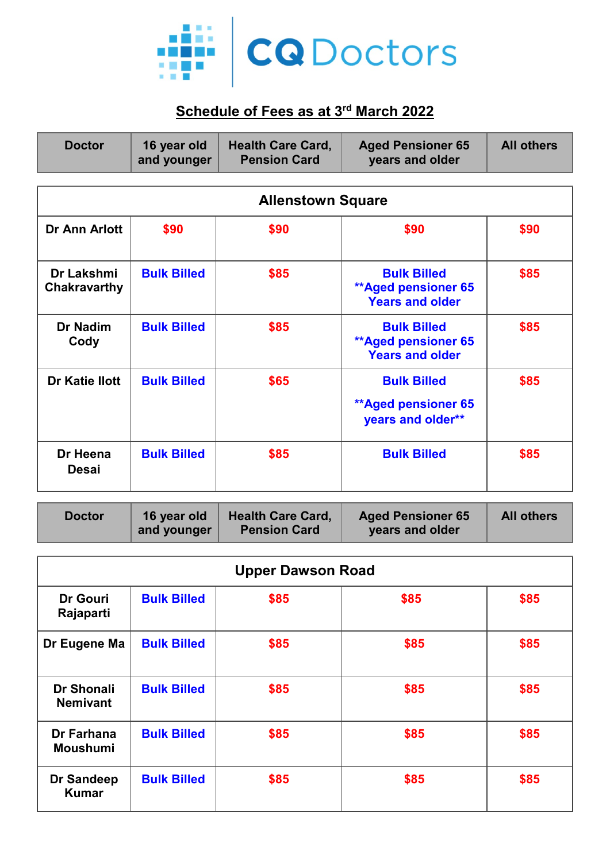

## **Schedule of Fees as at 3rd March 2022**

| <b>Doctor</b>                     | 16 year old<br>and younger | <b>Health Care Card,</b><br><b>Pension Card</b> | <b>Aged Pensioner 65</b><br>years and older                                | <b>All others</b> |  |
|-----------------------------------|----------------------------|-------------------------------------------------|----------------------------------------------------------------------------|-------------------|--|
| <b>Allenstown Square</b>          |                            |                                                 |                                                                            |                   |  |
| Dr Ann Arlott                     | \$90                       | \$90                                            | \$90                                                                       | \$90              |  |
| <b>Dr Lakshmi</b><br>Chakravarthy | <b>Bulk Billed</b>         | \$85                                            | <b>Bulk Billed</b><br><b>**Aged pensioner 65</b><br><b>Years and older</b> | \$85              |  |
| Dr Nadim<br>Cody                  | <b>Bulk Billed</b>         | \$85                                            | <b>Bulk Billed</b><br><b>**Aged pensioner 65</b><br><b>Years and older</b> | \$85              |  |
| <b>Dr Katie Ilott</b>             | <b>Bulk Billed</b>         | \$65                                            | <b>Bulk Billed</b><br><b>**Aged pensioner 65</b><br>years and older**      | \$85              |  |
| Dr Heena<br><b>Desai</b>          | <b>Bulk Billed</b>         | \$85                                            | <b>Bulk Billed</b>                                                         | \$85              |  |

| <b>Doctor</b> | 16 year old | <b>Health Care Card,</b> | <b>Aged Pensioner 65</b> | <b>All others</b> |
|---------------|-------------|--------------------------|--------------------------|-------------------|
|               | and younger | <b>Pension Card</b>      | years and older          |                   |

| <b>Upper Dawson Road</b>             |                    |      |      |      |
|--------------------------------------|--------------------|------|------|------|
| <b>Dr Gouri</b><br>Rajaparti         | <b>Bulk Billed</b> | \$85 | \$85 | \$85 |
| Dr Eugene Ma                         | <b>Bulk Billed</b> | \$85 | \$85 | \$85 |
| <b>Dr Shonali</b><br><b>Nemivant</b> | <b>Bulk Billed</b> | \$85 | \$85 | \$85 |
| Dr Farhana<br><b>Moushumi</b>        | <b>Bulk Billed</b> | \$85 | \$85 | \$85 |
| <b>Dr Sandeep</b><br><b>Kumar</b>    | <b>Bulk Billed</b> | \$85 | \$85 | \$85 |